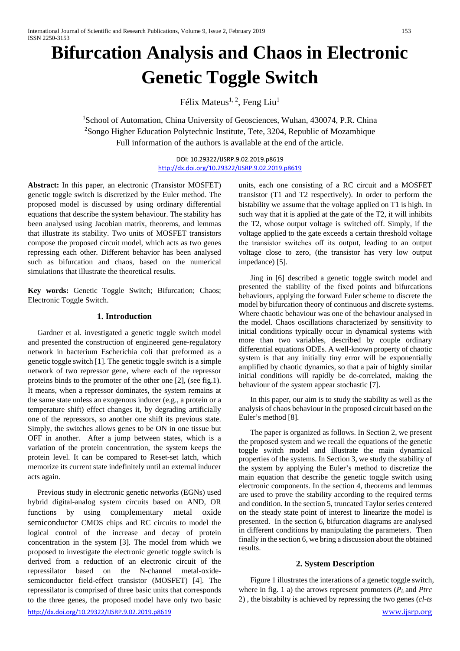# **Bifurcation Analysis and Chaos in Electronic Genetic Toggle Switch**

Félix Mateus<sup>1, 2</sup>, Feng Liu<sup>1</sup>

<sup>1</sup>School of Automation, China University of Geosciences, Wuhan, 430074, P.R. China <sup>2</sup>Songo Higher Education Polytechnic Institute, Tete, 3204, Republic of Mozambique Full information of the authors is available at the end of the article.

> DOI: 10.29322/IJSRP.9.02.2019.p8619 <http://dx.doi.org/10.29322/IJSRP.9.02.2019.p8619>

**Abstract:** In this paper, an electronic (Transistor MOSFET) genetic toggle switch is discretized by the Euler method. The proposed model is discussed by using ordinary differential equations that describe the system behaviour. The stability has been analysed using Jacobian matrix, theorems, and lemmas that illustrate its stability. Two units of MOSFET transistors compose the proposed circuit model, which acts as two genes repressing each other. Different behavior has been analysed such as bifurcation and chaos, based on the numerical simulations that illustrate the theoretical results.

**Key words:** Genetic Toggle Switch; Bifurcation; Chaos; Electronic Toggle Switch.

# **1. Introduction**

 Gardner et al. investigated a genetic toggle switch model and presented the construction of engineered gene-regulatory network in bacterium Escherichia coli that preformed as a genetic toggle switch [1]. The genetic toggle switch is a simple network of two repressor gene, where each of the repressor proteins binds to the promoter of the other one [2], (see fig.1). It means, when a repressor dominates, the system remains at the same state unless an exogenous inducer (e.g., a protein or a temperature shift) effect changes it, by degrading artificially one of the repressors, so another one shift its previous state. Simply, the switches allows genes to be ON in one tissue but OFF in another. After a jump between states, which is a variation of the protein concentration, the system keeps the protein level. It can be compared to Reset-set latch, which memorize its current state indefinitely until an external inducer acts again.

 Previous study in electronic genetic networks (EGNs) used hybrid digital-analog system circuits based on AND, OR functions by using complementary metal oxide semiconductor CMOS chips and RC circuits to model the logical control of the increase and decay of protein concentration in the system [3]. The model from which we proposed to investigate the electronic genetic toggle switch is derived from a reduction of an electronic circuit of the repressilator based on the N-channel metal-oxidesemiconductor field-effect transistor (MOSFET) [4]. The repressilator is comprised of three basic units that corresponds to the three genes, the proposed model have only two basic

units, each one consisting of a RC circuit and a MOSFET transistor (T1 and T2 respectively). In order to perform the bistability we assume that the voltage applied on T1 is high. In such way that it is applied at the gate of the T2, it will inhibits the T2, whose output voltage is switched off. Simply, if the voltage applied to the gate exceeds a certain threshold voltage the transistor switches off its output, leading to an output voltage close to zero, (the transistor has very low output impedance) [5].

 Jing in [6] described a genetic toggle switch model and presented the stability of the fixed points and bifurcations behaviours, applying the forward Euler scheme to discrete the model by bifurcation theory of continuous and discrete systems. Where chaotic behaviour was one of the behaviour analysed in the model. Chaos oscillations characterized by sensitivity to initial conditions typically occur in dynamical systems with more than two variables, described by couple ordinary differential equations ODEs. A well-known property of chaotic system is that any initially tiny error will be exponentially amplified by chaotic dynamics, so that a pair of highly similar initial conditions will rapidly be de-correlated, making the behaviour of the system appear stochastic [7].

 In this paper, our aim is to study the stability as well as the analysis of chaos behaviour in the proposed circuit based on the Euler's method [8].

 The paper is organized as follows. In Section 2, we present the proposed system and we recall the equations of the genetic toggle switch model and illustrate the main dynamical properties of the systems. In Section 3, we study the stability of the system by applying the Euler's method to discretize the main equation that describe the genetic toggle switch using electronic components. In the section 4, theorems and lemmas are used to prove the stability according to the required terms and condition. In the section 5, truncated Taylor series centered on the steady state point of interest to linearize the model is presented. In the section 6, bifurcation diagrams are analysed in different conditions by manipulating the parameters. Then finally in the section 6, we bring a discussion about the obtained results.

### **2. System Description**

 Figure 1 illustrates the interations of a genetic toggle switch, where in fig. 1 a) the arrows represent promoters (*PL* and *Ptrc* 2) , the bistabilty is achieved by repressing the two genes (*cl-ts*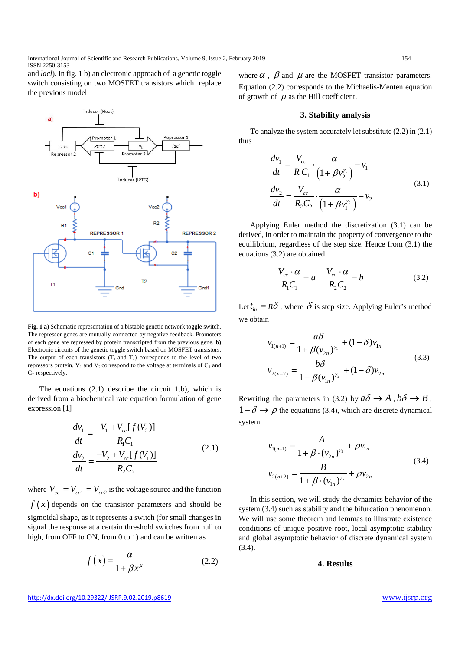International Journal of Scientific and Research Publications, Volume 9, Issue 2, February 2019 154 ISSN 2250-3153

and *lacl*). In fig. 1 b) an electronic approach of a genetic toggle switch consisting on two MOSFET transistors which replace the previous model.



**Fig. 1 a)** Schematic representation of a bistable genetic network toggle switch. The repressor genes are mutually connected by negative feedback. Promoters of each gene are repressed by protein transcripted from the previous gene. **b)**  Electronic circuits of the genetic toggle switch based on MOSFET transistors. The output of each transistors  $(T_1 \text{ and } T_2)$  corresponds to the level of two repressors protein.  $V_1$  and  $V_2$  correspond to the voltage at terminals of  $C_1$  and  $C<sub>2</sub>$  respectively.

 The equations (2.1) describe the circuit 1.b), which is derived from a biochemical rate equation formulation of gene expression [1]

$$
\frac{dv_1}{dt} = \frac{-V_1 + V_{cc}[f(V_2)]}{R_1C_1}
$$
\n
$$
\frac{dv_2}{dt} = \frac{-V_2 + V_{cc}[f(V_1)]}{R_2C_2}
$$
\n(2.1)

where  $V_{cc} = V_{cc} = V_{cc}$  is the voltage source and the function  $f(x)$  depends on the transistor parameters and should be sigmoidal shape, as it represents a switch (for small changes in signal the response at a certain threshold switches from null to high, from OFF to ON, from 0 to 1) and can be written as

$$
f(x) = \frac{\alpha}{1 + \beta x^{\mu}}
$$
 (2.2)

where  $\alpha$ ,  $\beta$  and  $\mu$  are the MOSFET transistor parameters. Equation (2.2) corresponds to the Michaelis-Menten equation of growth of  $\mu$  as the Hill coefficient.

#### **3. Stability analysis**

 To analyze the system accurately let substitute (2.2) in (2.1) thus

$$
\frac{dv_1}{dt} = \frac{V_{cc}}{R_1 C_1} \cdot \frac{\alpha}{\left(1 + \beta v_2^{\gamma_1}\right)} - v_1
$$
\n
$$
\frac{dv_2}{dt} = \frac{V_{cc}}{R_2 C_2} \cdot \frac{\alpha}{\left(1 + \beta v_1^{\gamma_2}\right)} - v_2
$$
\n(3.1)

 Applying Euler method the discretization (3.1) can be derived, in order to maintain the property of convergence to the equilibrium, regardless of the step size. Hence from (3.1) the equations (3.2) are obtained

$$
\frac{V_{cc} \cdot \alpha}{R_1 C_1} = a \qquad \frac{V_{cc} \cdot \alpha}{R_2 C_2} = b \tag{3.2}
$$

Let  $t_{in} = n\delta$ , where  $\delta$  is step size. Applying Euler's method we obtain

$$
v_{1(n+1)} = \frac{a\delta}{1 + \beta(v_{2n})^{r_1}} + (1 - \delta)v_{1n}
$$
  

$$
v_{2(n+2)} = \frac{b\delta}{1 + \beta(v_{1n})^{r_2}} + (1 - \delta)v_{2n}
$$
 (3.3)

Rewriting the parameters in (3.2) by  $a\delta \rightarrow A$ ,  $b\delta \rightarrow B$ ,  $1-\delta \rightarrow \rho$  the equations (3.4), which are discrete dynamical system.

$$
v_{1(n+1)} = \frac{A}{1 + \beta \cdot (v_{2n})^{\gamma_1}} + \rho v_{1n}
$$
  

$$
v_{2(n+2)} = \frac{B}{1 + \beta \cdot (v_{1n})^{\gamma_2}} + \rho v_{2n}
$$
 (3.4)

 In this section, we will study the dynamics behavior of the system (3.4) such as stability and the bifurcation phenomenon. We will use some theorem and lemmas to illustrate existence conditions of unique positive root, local asymptotic stability and global asymptotic behavior of discrete dynamical system (3.4).

## **4. Results**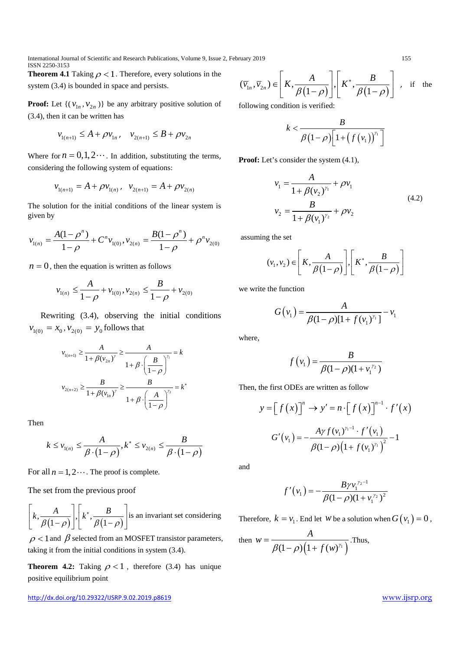International Journal of Scientific and Research Publications, Volume 9, Issue 2, February 2019 155 ISSN 2250-3153

**Theorem 4.1** Taking  $\rho < 1$ . Therefore, every solutions in the system (3.4) is bounded in space and persists.

**Proof:** Let  $\{ (v_{1n}, v_{2n}) \}$  be any arbitrary positive solution of (3.4), then it can be written has

$$
v_{1(n+1)} \le A + \rho v_{1n}, \quad v_{2(n+1)} \le B + \rho v_{2n}
$$

Where for  $n = 0, 1, 2 \cdots$ . In addition, substituting the terms, considering the following system of equations:

$$
v_{1(n+1)} = A + \rho v_{1(n)}, \quad v_{2(n+1)} = A + \rho v_{2(n)}
$$

The solution for the initial conditions of the linear system is given by

$$
v_{1(n)} = \frac{A(1-\rho^{n})}{1-\rho} + C^{n} v_{1(0)}, v_{2(n)} = \frac{B(1-\rho^{n})}{1-\rho} + \rho^{n} v_{2(0)}
$$

 $n = 0$ , then the equation is written as follows

$$
v_{1(n)} \le \frac{A}{1-\rho} + v_{1(0)}, v_{2(n)} \le \frac{B}{1-\rho} + v_{2(0)}
$$

 Rewriting (3.4), observing the initial conditions  $v_{1(0)} = x_0, v_{2(0)} = y_0$  follows that

$$
v_{1(n+1)} \ge \frac{A}{1 + \beta(v_{2n})^{\gamma}} \ge \frac{A}{1 + \beta \cdot \left(\frac{B}{1 - \rho}\right)^{\gamma_1}} = k
$$
  

$$
v_{2(n+2)} \ge \frac{B}{1 + \beta(v_{1n})^{\gamma}} \ge \frac{B}{1 + \beta \cdot \left(\frac{A}{1 - \rho}\right)^{\gamma_2}} = k^*
$$

Then

$$
k \le \nu_{1(n)} \le \frac{A}{\beta \cdot (1 - \rho)}, k^* \le \nu_{2(n)} \le \frac{B}{\beta \cdot (1 - \rho)}
$$

For all  $n = 1, 2...$  The proof is complete.

The set from the previous proof

 $\left| k, \frac{A}{\beta(1-\rho)} \right|, \left| k^*, \frac{B}{\beta(1-\rho)} \right|$  $\beta(1-\rho)$ ||  $\beta(1-\rho)$ <sup>∗</sup>  $\left[\frac{k}{\beta(1-\rho)}\right], \left[\frac{k^*, \frac{b}{\beta(1-\rho)}}{\beta(1-\rho)}\right]$  is an invariant set considering

 $\rho$  < 1 and  $\beta$  selected from an MOSFET transistor parameters, taking it from the initial conditions in system (3.4).

**Theorem 4.2:** Taking  $\rho < 1$ , therefore (3.4) has unique positive equilibrium point

<http://dx.doi.org/10.29322/IJSRP.9.02.2019.p8619> [www.ijsrp.org](http://ijsrp.org/)

$$
(\overline{v}_{1n}, \overline{v}_{2n}) \in \left[K, \frac{A}{\beta(1-\rho)}\right], \left[K^*, \frac{B}{\beta(1-\rho)}\right]
$$
, if the

following condition is verified:

$$
k < \frac{B}{\beta(1-\rho)\left[1+\left(f\left(v_{1}\right)\right)^{\gamma_{1}}\right]}
$$

Proof: Let's consider the system  $(4.1)$ ,

$$
v_1 = \frac{A}{1 + \beta(v_2)^{\gamma_1}} + \rho v_1
$$
  
\n
$$
v_2 = \frac{B}{1 + \beta(v_1)^{\gamma_2}} + \rho v_2
$$
\n(4.2)

assuming the set

$$
(v_1, v_2) \in \left[K, \frac{A}{\beta(1-\rho)}\right], \left[K^*, \frac{B}{\beta(1-\rho)}\right]
$$

we write the function

$$
G(v_1) = \frac{A}{\beta(1-\rho)[1+f(v_1)^{\gamma_1}]} - v_1
$$

where,

$$
f(v_1) = \frac{B}{\beta(1-\rho)(1 + v_1^{r_2})}
$$

Then, the first ODEs are written as follow

$$
y = [f(x)]^{n} \rightarrow y' = n \cdot [f(x)]^{n-1} \cdot f'(x)
$$

$$
G'(v_1) = -\frac{A\gamma f(v_1)^{\gamma-1} \cdot f'(v_1)}{\beta(1-\rho)\left(1+f(v_1)^{\gamma}\right)^2} - 1
$$

and

$$
f'(v_1) = -\frac{B\gamma v_1^{y_2 - 1}}{\beta(1 - \rho)(1 + v_1^{y_2})^2}
$$

Therefore,  $k = v_1$ . End let *w* be a solution when  $G(v_1) = 0$ ,

then 
$$
w = \frac{A}{\beta(1-\rho)\left(1+f(w)^{\gamma_1}\right)}
$$
. Thus,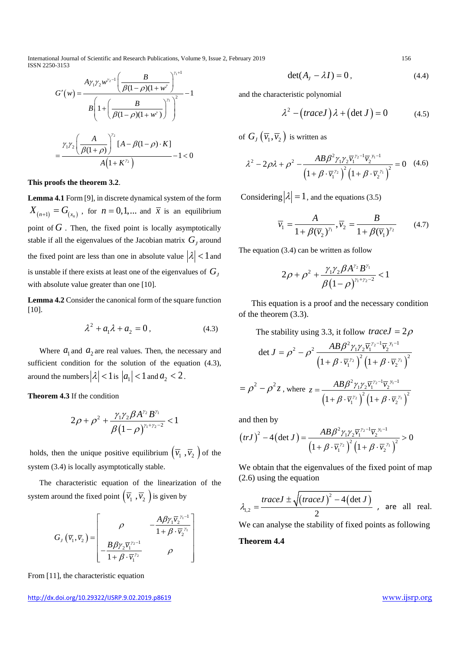International Journal of Scientific and Research Publications, Volume 9, Issue 2, February 2019 156 ISSN 2250-3153

$$
G'(w) = \frac{A\gamma_1\gamma_2 w^{\gamma_2 - 1} \left(\frac{B}{\beta(1 - \rho)(1 + w^{\gamma})}\right)^{\gamma_1 + 1}}{B\left(1 + \left(\frac{B}{\beta(1 - \rho)(1 + w^{\gamma})}\right)^{\gamma_1}\right)^2} - 1
$$

$$
= \frac{\gamma_1\gamma_2 \left(\frac{A}{\beta(1 + \rho)}\right)^{\gamma_2} [A - \beta(1 - \rho) \cdot K]}{A\left(1 + K^{\gamma_2}\right)} - 1 < 0
$$

**This proofs the theorem 3.2**.

**Lemma 4.1** Form [9], in discrete dynamical system of the form  $X_{(n+1)} = G_{(x_n)}$ , for  $n = 0,1,...$  and  $\overline{x}$  is an equilibrium point of  $G$ . Then, the fixed point is locally asymptotically stable if all the eigenvalues of the Jacobian matrix  $G_i$  around the fixed point are less than one in absolute value  $|\lambda| < 1$  and is unstable if there exists at least one of the eigenvalues of  $G<sub>I</sub>$ with absolute value greater than one [10].

**Lemma 4.2** Consider the canonical form of the square function [10].

$$
\lambda^2 + a_1 \lambda + a_2 = 0, \qquad (4.3)
$$

Where  $a_1$  and  $a_2$  are real values. Then, the necessary and sufficient condition for the solution of the equation (4.3), around the numbers  $|\lambda| < 1$  is  $|a_1| < 1$  and  $a_2 < 2$ .

**Theorem 4.3** If the condition

$$
2\rho+\rho^2+\frac{\gamma_1\gamma_2\beta A^{\gamma_2}B^{\gamma_1}}{\beta(1-\rho)^{\gamma_1+\gamma_2-2}}<1
$$

holds, then the unique positive equilibrium  $(\overline{v_1}, \overline{v_2})$  of the system (3.4) is locally asymptotically stable.

 The characteristic equation of the linearization of the system around the fixed point  $(\overline{v}_1, \overline{v}_2)$  is given by

$$
G_{J}(\overline{v}_{1},\overline{v}_{2}) = \begin{bmatrix} \rho & -\frac{A\beta\gamma_{1}\overline{v}_{2}^{\gamma_{1}-1}}{1+\beta\cdot\overline{v}_{2}^{\gamma_{1}}} \\ -\frac{B\beta\gamma_{2}\overline{v}_{1}^{\gamma_{2}-1}}{1+\beta\cdot\overline{v}_{1}^{\gamma_{2}}} & \rho \end{bmatrix}
$$

From [11], the characteristic equation

$$
\det(A_t - \lambda I) = 0, \qquad (4.4)
$$

and the characteristic polynomial

$$
\lambda^2 - (traceJ)\lambda + (\det J) = 0 \tag{4.5}
$$

of  $G_J(\overline{v}_1, \overline{v}_2)$  is written as

$$
\lambda^{2} - 2\rho\lambda + \rho^{2} - \frac{AB\beta^{2}\gamma_{1}\gamma_{2}\overline{v_{1}}^{\gamma_{2}-1}\overline{v_{2}}^{\gamma_{1}-1}}{\left(1 + \beta \cdot \overline{v_{1}}^{\gamma_{2}}\right)^{2}\left(1 + \beta \cdot \overline{v_{2}}^{\gamma_{1}}\right)^{2}} = 0 \quad (4.6)
$$

Considering  $|\lambda| = 1$ , and the equations (3.5)

$$
\overline{v}_1 = \frac{A}{1 + \beta(\overline{v}_2)^{\gamma_1}}, \overline{v}_2 = \frac{B}{1 + \beta(\overline{v}_1)^{\gamma_2}} \tag{4.7}
$$

The equation (3.4) can be written as follow

$$
2\rho + \rho^2 + \frac{\gamma_1 \gamma_2 \beta A^{\gamma_2} B^{\gamma_1}}{\beta (1 - \rho)^{\gamma_1 + \gamma_2 - 2}} < 1
$$

 This equation is a proof and the necessary condition of the theorem (3.3).

The stability using 3.3, it follow *trace* $J = 2\rho$ 

$$
\det J = \rho^2 - \rho^2 \frac{AB \beta^2 \gamma_1 \gamma_2 \overline{v_1}^{\gamma_2 - 1} \overline{v_2}^{\gamma_1 - 1}}{\left(1 + \beta \cdot \overline{v_1}^{\gamma_2}\right)^2 \left(1 + \beta \cdot \overline{v_2}^{\gamma_1}\right)^2}
$$

$$
= \rho^2 - \rho^2 z \text{ , where } z = \frac{AB \beta^2 \gamma_1 \gamma_2 \overline{v_1}^{\gamma_2 - 1} \overline{v_2}^{\gamma_1 - 1}}{\left(1 + \beta \cdot \overline{v_1}^{\gamma_2}\right)^2 \left(1 + \beta \cdot \overline{v_2}^{\gamma_1}\right)^2}
$$

and then by

$$
(trJ)^2 - 4\left(\det J\right) = \frac{AB\beta^2 \gamma_1 \gamma_2 \overline{v_1}^{\gamma_2 - 1} \overline{v_2}^{\gamma_1 - 1}}{\left(1 + \beta \cdot \overline{v_1}^{\gamma_2}\right)^2 \left(1 + \beta \cdot \overline{v_2}^{\gamma_1}\right)^2} > 0
$$

We obtain that the eigenvalues of the fixed point of map (2.6) using the equation

$$
\lambda_{1,2} = \frac{\text{trace } J \pm \sqrt{\text{trace } J \cdot 2} - 4(\det J)}{2}
$$
, are all real.

We can analyse the stability of fixed points as following

**Theorem 4.4**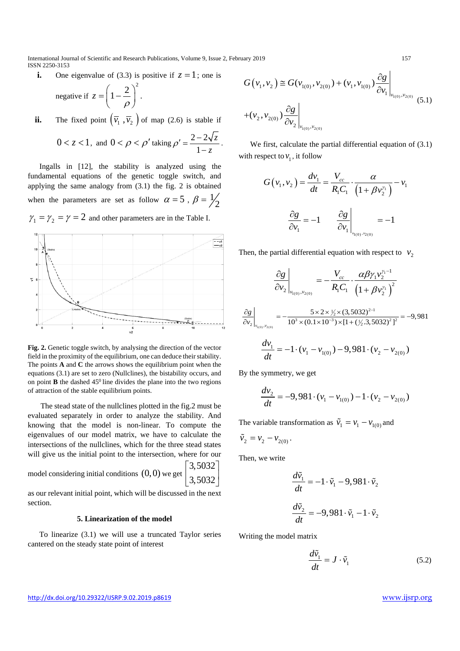International Journal of Scientific and Research Publications, Volume 9, Issue 2, February 2019 157 ISSN 2250-3153

**i.** One eigenvalue of (3.3) is positive if  $z = 1$ ; one is

negative if 
$$
z = \left(1 - \frac{2}{\rho}\right)^2
$$
.

**ii.** The fixed point  $(\overline{v_1}, \overline{v_2})$  of map (2.6) is stable if

$$
0 < z < 1, \text{ and } 0 < \rho < \rho' \text{ taking } \rho' = \frac{2 - 2\sqrt{z}}{1 - z}.
$$

 Ingalls in [12], the stability is analyzed using the fundamental equations of the genetic toggle switch, and applying the same analogy from (3.1) the fig. 2 is obtained when the parameters are set as follow  $\alpha = 5$ ,  $\beta = \frac{1}{2}$ 

 $\gamma_1 = \gamma_2 = \gamma = 2$  and other parameters are in the Table I.



Fig. 2. Genetic toggle switch, by analysing the direction of the vector field in the proximity of the equilibrium, one can deduce their stability. The points **A** and **C** the arrows shows the equilibrium point when the equations (3.1) are set to zero (Nullclines), the bistability occurs, and on point **B** the dashed  $45^{\circ}$  line divides the plane into the two regions of attraction of the stable equilibrium points.

 The stead state of the nullclines plotted in the fig.2 must be evaluated separately in order to analyze the stability. And knowing that the model is non-linear. To compute the eigenvalues of our model matrix, we have to calculate the intersections of the nullclines, which for the three stead states will give us the initial point to the intersection, where for our

model considering initial conditions  $(0,0)$  we get

$$
\begin{bmatrix} 3,5032 \\ 3,5032 \end{bmatrix}
$$

as our relevant initial point, which will be discussed in the next section.

#### **5. Linearization of the model**

 To linearize (3.1) we will use a truncated Taylor series cantered on the steady state point of interest

$$
G(v_1, v_2) \cong G(v_{1(0)}, v_{2(0)}) + (v_1, v_{1(0)}) \frac{\partial g}{\partial v_1}\Big|_{v_{1(0)}, v_{2(0)}} + (v_2, v_{2(0)}) \frac{\partial g}{\partial v_2}\Big|_{v_{1(0)}, v_{2(0)}}
$$
(5.1)

We first, calculate the partial differential equation of  $(3.1)$ with respect to  $v_1$ , it follow

$$
G(v_1, v_2) = \frac{dv_1}{dt} = \frac{V_{cc}}{R_1 C_1} \cdot \frac{\alpha}{\left(1 + \beta v_2^{r_1}\right)} - v_1
$$

$$
\frac{\partial g}{\partial v_1} = -1 \qquad \frac{\partial g}{\partial v_1}\Big|_{v_{1(0), v_{2(0)}}} = -1
$$

Then, the partial differential equation with respect to  $v_2$ 

$$
\frac{\partial g}{\partial v_2}\Big|_{v_{1(0)}, v_{2(0)}} = -\frac{V_{cc}}{R_1 C_1} \cdot \frac{\alpha \beta \gamma_1 v_2^{\gamma_1 - 1}}{\left(1 + \beta v_2^{\gamma_1}\right)^2}
$$

$$
\frac{\partial g}{\partial v_2}\Big|_{v_{1(0)}, v_{2(0)}} = -\frac{5 \times 2 \times \frac{1}{2} \times (3,5032)^{2-1}}{10^3 \times (0.1 \times 10^{-3}) \times [1 + (\frac{1}{2}, 3,5032)^2]^2} = -9,981
$$

$$
\frac{dv_1}{dt} = -1 \cdot (v_1 - v_{1(0)}) - 9,981 \cdot (v_2 - v_{2(0)})
$$

By the symmetry, we get

$$
\frac{dv_2}{dt} = -9,981 \cdot (v_1 - v_{1(0)}) - 1 \cdot (v_2 - v_{2(0)})
$$

The variable transformation as  $\tilde{v}_1 = v_1 - v_{1(0)}$  and

$$
\tilde{\nu}_2 = \nu_2 - \nu_{2(0)}.
$$

Then, we write

$$
\frac{d\tilde{v}_1}{dt} = -1 \cdot \tilde{v}_1 - 9,981 \cdot \tilde{v}_2
$$

$$
\frac{d\tilde{v}_2}{dt} = -9,981 \cdot \tilde{v}_1 - 1 \cdot \tilde{v}_2
$$

Writing the model matrix

$$
\frac{d\tilde{v}_1}{dt} = J \cdot \tilde{v}_1 \tag{5.2}
$$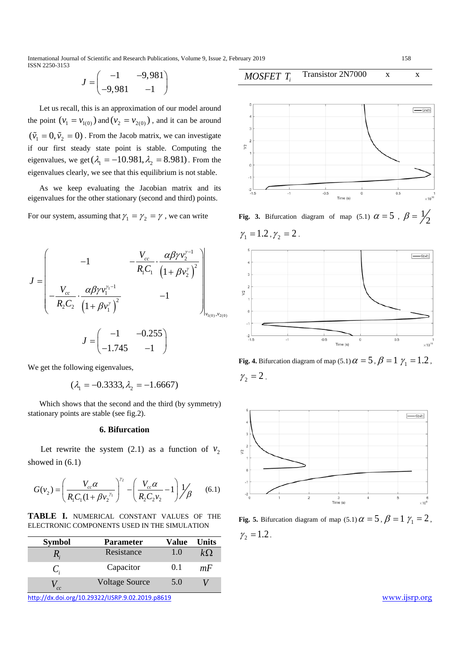International Journal of Scientific and Research Publications, Volume 9, Issue 2, February 2019 158 ISSN 2250-3153

$$
J = \begin{pmatrix} -1 & -9.981 \\ -9.981 & -1 \end{pmatrix}
$$

 Let us recall, this is an approximation of our model around the point  $(v_1 = v_{1(0)})$  and  $(v_2 = v_{2(0)})$ , and it can be around  $(\tilde{v}_1 = 0, \tilde{v}_2 = 0)$ . From the Jacob matrix, we can investigate if our first steady state point is stable. Computing the eigenvalues, we get  $(\lambda_1 = -10.981, \lambda_2 = 8.981)$ . From the eigenvalues clearly, we see that this equilibrium is not stable.

 As we keep evaluating the Jacobian matrix and its eigenvalues for the other stationary (second and third) points.

For our system, assuming that  $\gamma_1 = \gamma_2 = \gamma$ , we can write

$$
J = \begin{bmatrix} -1 & -\frac{V_{cc}}{R_1 C_1} \cdot \frac{\alpha \beta \gamma v_2^{\gamma - 1}}{\left(1 + \beta v_2^{\gamma}\right)^2} \\ -\frac{V_{cc}}{R_2 C_2} \cdot \frac{\alpha \beta \gamma v_1^{\gamma - 1}}{\left(1 + \beta v_1^{\gamma}\right)^2} & -1 \\ J = \begin{pmatrix} -1 & -0.255 \\ -1.745 & -1 \end{pmatrix}
$$

We get the following eigenvalues,

$$
(\lambda_1 = -0.3333, \lambda_2 = -1.6667)
$$

 Which shows that the second and the third (by symmetry) stationary points are stable (see fig.2).

## **6. Bifurcation**

Let rewrite the system (2.1) as a function of  $v_2$ showed in (6.1)

$$
G(v_2) = \left(\frac{V_{cc}\alpha}{R_1C_1(1+\beta v_2^{\gamma_1})}\right)^{\gamma_2} - \left(\frac{V_{cc}\alpha}{R_2C_2v_2} - 1\right)\frac{1}{\beta} \tag{6.1}
$$

**TABLE I.** NUMERICAL CONSTANT VALUES OF THE ELECTRONIC COMPONENTS USED IN THE SIMULATION

| <b>Symbol</b> | Parameter             | Value | Units |
|---------------|-----------------------|-------|-------|
|               | Resistance            | 1.0   | kΩ    |
|               | Capacitor             | 0.1   | mF    |
| cc            | <b>Voltage Source</b> | 5.0   |       |
|               |                       |       |       |

<http://dx.doi.org/10.29322/IJSRP.9.02.2019.p8619> [www.ijsrp.org](http://ijsrp.org/)



Transistor 2N7000 x x

*MOSFET Ti*

**Fig. 3.** Bifurcation diagram of map (5.1)  $\alpha = 5$ ,  $\beta = \frac{1}{2}$  $\gamma_1 = 1.2$ ,  $\gamma_2 = 2$ .



**Fig. 4.** Bifurcation diagram of map (5.1)  $\alpha = 5$ ,  $\beta = 1$   $\gamma_1 = 1.2$ ,  $\gamma_2 = 2$ .



**Fig. 5.** Bifurcation diagram of map (5.1)  $\alpha = 5$ ,  $\beta = 1$   $\gamma_1 = 2$ ,  $\gamma_2 = 1.2$ .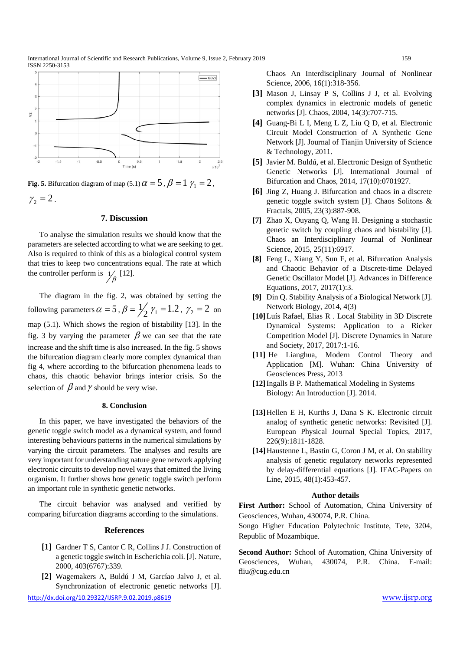

**Fig. 5.** Bifurcation diagram of map (5.1)  $\alpha = 5$ ,  $\beta = 1$   $\gamma_1 = 2$ ,  $\gamma_2 = 2$ .

## **7. Discussion**

 To analyse the simulation results we should know that the parameters are selected according to what we are seeking to get. Also is required to think of this as a biological control system that tries to keep two concentrations equal. The rate at which the controller perform is  $\frac{1}{\beta}$  [12].

 The diagram in the fig. 2, was obtained by setting the following parameters  $\alpha = 5$ ,  $\beta = \frac{1}{2} \gamma_1 = 1.2$ ,  $\gamma_2 = 2$  on map (5.1). Which shows the region of bistability [13]. In the fig. 3 by varying the parameter  $\beta$  we can see that the rate increase and the shift time is also increased. In the fig. 5 shows the bifurcation diagram clearly more complex dynamical than fig 4, where according to the bifurcation phenomena leads to chaos, this chaotic behavior brings interior crisis. So the selection of  $\beta$  and  $\gamma$  should be very wise.

#### **8. Conclusion**

 In this paper, we have investigated the behaviors of the genetic toggle switch model as a dynamical system, and found interesting behaviours patterns in the numerical simulations by varying the circuit parameters. The analyses and results are very important for understanding nature gene network applying electronic circuits to develop novel ways that emitted the living organism. It further shows how genetic toggle switch perform an important role in synthetic genetic networks.

 The circuit behavior was analysed and verified by comparing bifurcation diagrams according to the simulations.

#### **References**

- **[1]** Gardner T S, Cantor C R, Collins J J. Construction of a genetic toggle switch in Escherichia coli. [J]. Nature, 2000, 403(6767):339.
- **[2]** Wagemakers A, Buldú J M, Garcíao Jalvo J, et al. Synchronization of electronic genetic networks [J].

<http://dx.doi.org/10.29322/IJSRP.9.02.2019.p8619> [www.ijsrp.org](http://ijsrp.org/)

Chaos An Interdisciplinary Journal of Nonlinear Science, 2006, 16(1):318-356.

- **[3]** Mason J, Linsay P S, Collins J J, et al. Evolving complex dynamics in electronic models of genetic networks [J]. Chaos, 2004, 14(3):707-715.
- **[4]** Guang-Bi L I, Meng L Z, Liu Q D, et al. Electronic Circuit Model Construction of A Synthetic Gene Network [J]. Journal of Tianjin University of Science & Technology, 2011.
- **[5]** Javier M. Buldú, et al. Electronic Design of Synthetic Genetic Networks [J]. International Journal of Bifurcation and Chaos, 2014, 17(10):0701927.
- **[6]** Jing Z, Huang J. Bifurcation and chaos in a discrete genetic toggle switch system [J]. Chaos Solitons & Fractals, 2005, 23(3):887-908.
- **[7]** Zhao X, Ouyang Q, Wang H. Designing a stochastic genetic switch by coupling chaos and bistability [J]. Chaos an Interdisciplinary Journal of Nonlinear Science, 2015, 25(11):6917.
- **[8]** Feng L, Xiang Y, Sun F, et al. Bifurcation Analysis and Chaotic Behavior of a Discrete-time Delayed Genetic Oscillator Model [J]. Advances in Difference Equations, 2017, 2017(1):3.
- **[9]** Din Q. Stability Analysis of a Biological Network [J]. Network Biology, 2014, 4(3)
- **[10]**Luís Rafael, Elias R . Local Stability in 3D Discrete Dynamical Systems: Application to a Ricker Competition Model [J]. Discrete Dynamics in Nature and Society, 2017, 2017:1-16.
- **[11]** He Lianghua, Modern Control Theory and Application [M]. Wuhan: China University of Geosciences Press, 2013
- **[12]**Ingalls B P. Mathematical Modeling in Systems Biology: An Introduction [J]. 2014.
- **[13]**Hellen E H, Kurths J, Dana S K. Electronic circuit analog of synthetic genetic networks: Revisited [J]. European Physical Journal Special Topics, 2017, 226(9):1811-1828.
- **[14]**Haustenne L, Bastin G, Coron J M, et al. On stability analysis of genetic regulatory networks represented by delay-differential equations [J]. IFAC-Papers on Line, 2015, 48(1):453-457.

## **Author details**

**First Author:** School of Automation, China University of Geosciences, Wuhan, 430074, P.R. China.

Songo Higher Education Polytechnic Institute, Tete, 3204, Republic of Mozambique.

**Second Author:** School of Automation, China University of Geosciences, Wuhan, 430074, P.R. China. E-mail: fliu@cug.edu.cn